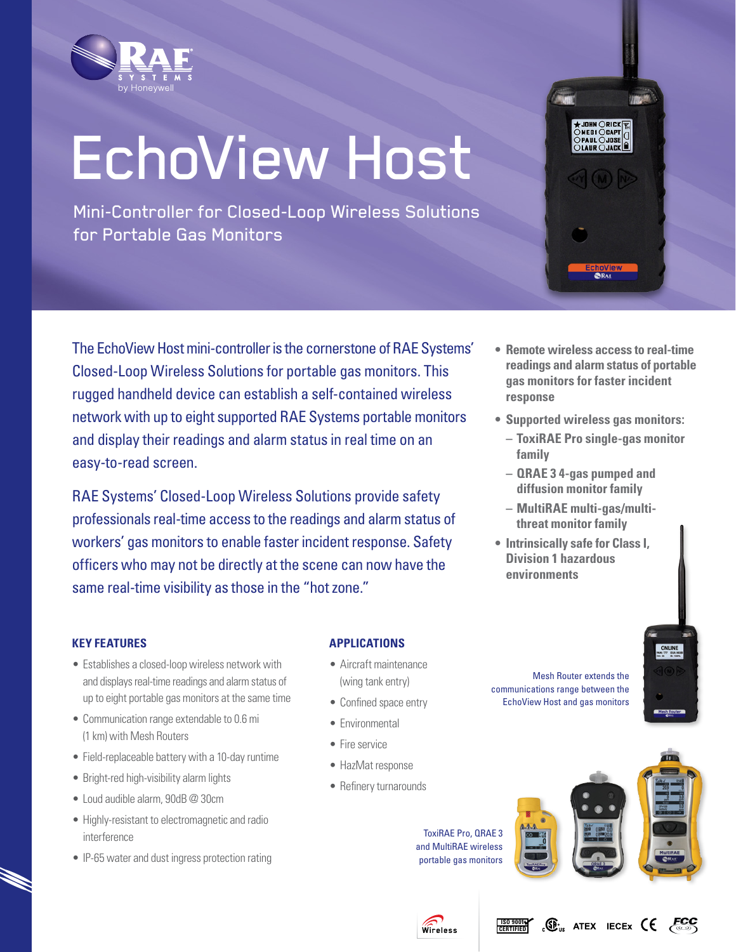

# EchoView Host

Mini-Controller for Closed-Loop Wireless Solutions for Portable Gas Monitors



The EchoView Host mini-controller is the cornerstone of RAE Systems' Closed-Loop Wireless Solutions for portable gas monitors. This rugged handheld device can establish a self-contained wireless network with up to eight supported RAE Systems portable monitors and display their readings and alarm status in real time on an easy-to-read screen.

RAE Systems' Closed-Loop Wireless Solutions provide safety professionals real-time access to the readings and alarm status of workers' gas monitors to enable faster incident response. Safety officers who may not be directly at the scene can now have the same real-time visibility as those in the "hot zone."

- **• Remote wireless access to real-time readings and alarm status of portable gas monitors for faster incident response**
- **• Supported wireless gas monitors:**
	- **– ToxiRAE Pro single-gas monitor family**
	- **– QRAE 3 4-gas pumped and diffusion monitor family**
	- **– MultiRAE multi-gas/multi- threat monitor family**
- **• Intrinsically safe for Class I, Division 1 hazardous environments**

# **Key Features**

- Establishes a closed-loop wireless network with and displays real-time readings and alarm status of up to eight portable gas monitors at the same time
- Communication range extendable to 0.6 mi (1 km) with Mesh Routers
- Field-replaceable battery with a 10-day runtime
- Bright-red high-visibility alarm lights
- • Loud audible alarm, 90dB @ 30cm
- • Highly-resistant to electromagnetic and radio interference
- IP-65 water and dust ingress protection rating

## **Applications**

- • Aircraft maintenance (wing tank entry)
- Confined space entry
- Fnvironmental
- Fire service
- • HazMat response
- Refinery turnarounds

Mesh Router extends the communications range between the EchoView Host and gas monitors



ToxiRAE Pro, QRAE 3 and MultiRAE wireless portable gas monitors